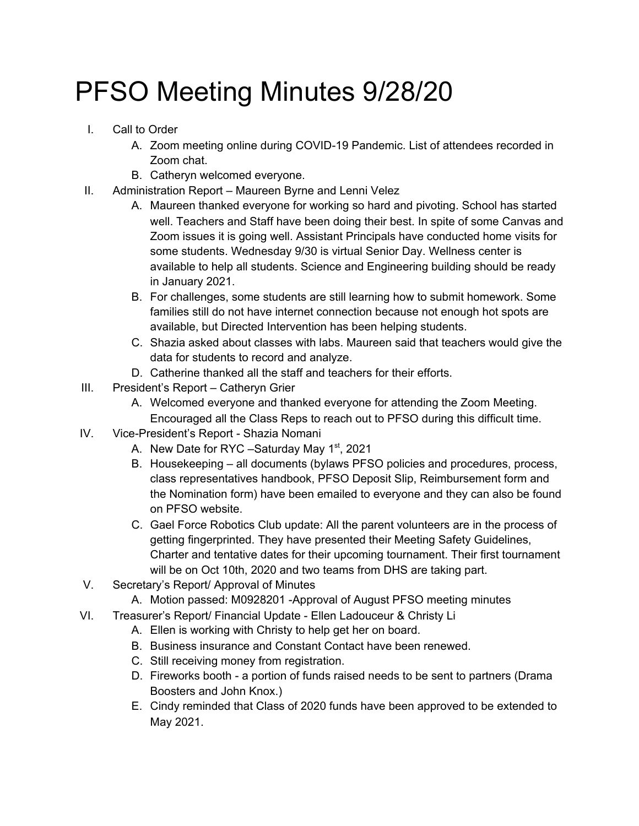## PFSO Meeting Minutes 9/28/20

- I. Call to Order
	- A. Zoom meeting online during COVID-19 Pandemic. List of attendees recorded in Zoom chat.
	- B. Catheryn welcomed everyone.
- II. Administration Report Maureen Byrne and Lenni Velez
	- A. Maureen thanked everyone for working so hard and pivoting. School has started well. Teachers and Staff have been doing their best. In spite of some Canvas and Zoom issues it is going well. Assistant Principals have conducted home visits for some students. Wednesday 9/30 is virtual Senior Day. Wellness center is available to help all students. Science and Engineering building should be ready in January 2021.
	- B. For challenges, some students are still learning how to submit homework. Some families still do not have internet connection because not enough hot spots are available, but Directed Intervention has been helping students.
	- C. Shazia asked about classes with labs. Maureen said that teachers would give the data for students to record and analyze.
	- D. Catherine thanked all the staff and teachers for their efforts.
- III. President's Report Catheryn Grier
	- A. Welcomed everyone and thanked everyone for attending the Zoom Meeting. Encouraged all the Class Reps to reach out to PFSO during this difficult time.
- IV. Vice-President's Report Shazia Nomani
	- A. New Date for RYC Saturday May 1<sup>st</sup>, 2021
	- B. Housekeeping all documents (bylaws PFSO policies and procedures, process, class representatives handbook, PFSO Deposit Slip, Reimbursement form and the Nomination form) have been emailed to everyone and they can also be found on PFSO website.
	- C. Gael Force Robotics Club update: All the parent volunteers are in the process of getting fingerprinted. They have presented their Meeting Safety Guidelines, Charter and tentative dates for their upcoming tournament. Their first tournament will be on Oct 10th, 2020 and two teams from DHS are taking part.
- V. Secretary's Report/ Approval of Minutes
	- A. Motion passed: M0928201 -Approval of August PFSO meeting minutes
- VI. Treasurer's Report/ Financial Update Ellen Ladouceur & Christy Li
	- A. Ellen is working with Christy to help get her on board.
	- B. Business insurance and Constant Contact have been renewed.
	- C. Still receiving money from registration.
	- D. Fireworks booth a portion of funds raised needs to be sent to partners (Drama Boosters and John Knox.)
	- E. Cindy reminded that Class of 2020 funds have been approved to be extended to May 2021.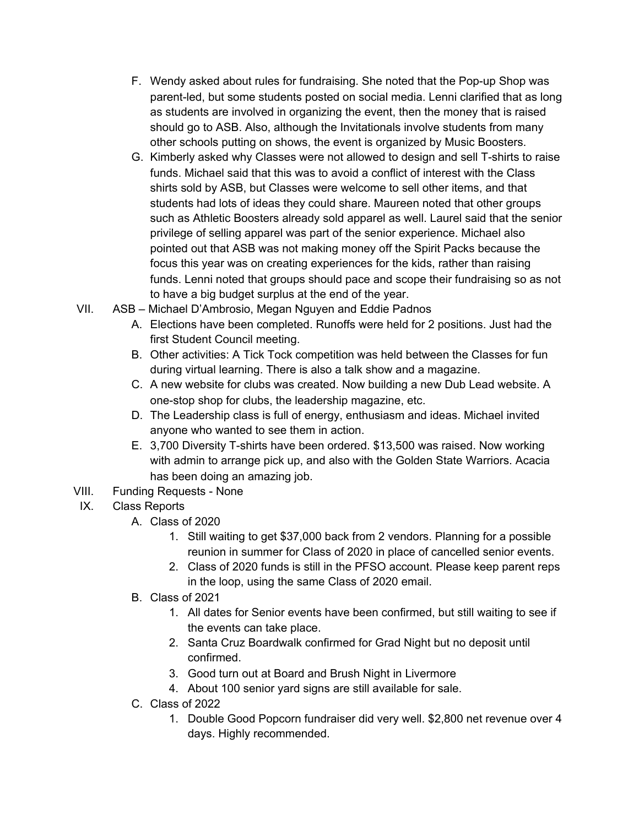- F. Wendy asked about rules for fundraising. She noted that the Pop-up Shop was parent-led, but some students posted on social media. Lenni clarified that as long as students are involved in organizing the event, then the money that is raised should go to ASB. Also, although the Invitationals involve students from many other schools putting on shows, the event is organized by Music Boosters.
- G. Kimberly asked why Classes were not allowed to design and sell T-shirts to raise funds. Michael said that this was to avoid a conflict of interest with the Class shirts sold by ASB, but Classes were welcome to sell other items, and that students had lots of ideas they could share. Maureen noted that other groups such as Athletic Boosters already sold apparel as well. Laurel said that the senior privilege of selling apparel was part of the senior experience. Michael also pointed out that ASB was not making money off the Spirit Packs because the focus this year was on creating experiences for the kids, rather than raising funds. Lenni noted that groups should pace and scope their fundraising so as not to have a big budget surplus at the end of the year.
- VII. ASB Michael D'Ambrosio, Megan Nguyen and Eddie Padnos
	- A. Elections have been completed. Runoffs were held for 2 positions. Just had the first Student Council meeting.
	- B. Other activities: A Tick Tock competition was held between the Classes for fun during virtual learning. There is also a talk show and a magazine.
	- C. A new website for clubs was created. Now building a new Dub Lead website. A one-stop shop for clubs, the leadership magazine, etc.
	- D. The Leadership class is full of energy, enthusiasm and ideas. Michael invited anyone who wanted to see them in action.
	- E. 3,700 Diversity T-shirts have been ordered. \$13,500 was raised. Now working with admin to arrange pick up, and also with the Golden State Warriors. Acacia has been doing an amazing job.
- VIII. Funding Requests None
- IX. Class Reports
	- A. Class of 2020
		- 1. Still waiting to get \$37,000 back from 2 vendors. Planning for a possible reunion in summer for Class of 2020 in place of cancelled senior events.
		- 2. Class of 2020 funds is still in the PFSO account. Please keep parent reps in the loop, using the same Class of 2020 email.
	- B. Class of 2021
		- 1. All dates for Senior events have been confirmed, but still waiting to see if the events can take place.
		- 2. Santa Cruz Boardwalk confirmed for Grad Night but no deposit until confirmed.
		- 3. Good turn out at Board and Brush Night in Livermore
		- 4. About 100 senior yard signs are still available for sale.
	- C. Class of 2022
		- 1. Double Good Popcorn fundraiser did very well. \$2,800 net revenue over 4 days. Highly recommended.